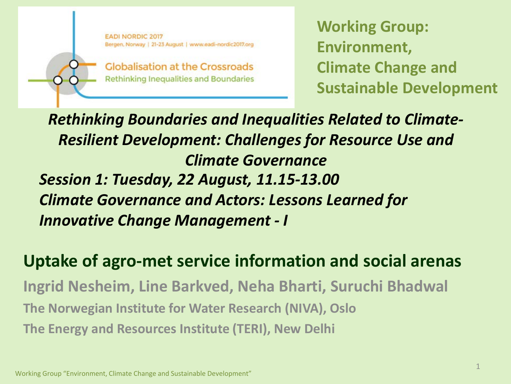**EADI NORDIC 2017** Bergen, Norway | 21-23 August | www.eadi-nordic2017.org

**Globalisation at the Crossroads Rethinking Inequalities and Boundaries**  **Working Group: Environment, Climate Change and Sustainable Development**

*Session 1: Tuesday, 22 August, 11.15-13.00 Climate Governance and Actors: Lessons Learned for Innovative Change Management - I Rethinking Boundaries and Inequalities Related to Climate-Resilient Development: Challenges for Resource Use and Climate Governance*

**Uptake of agro-met service information and social arenas Ingrid Nesheim, Line Barkved, Neha Bharti, Suruchi Bhadwal The Norwegian Institute for Water Research (NIVA), Oslo The Energy and Resources Institute (TERI), New Delhi**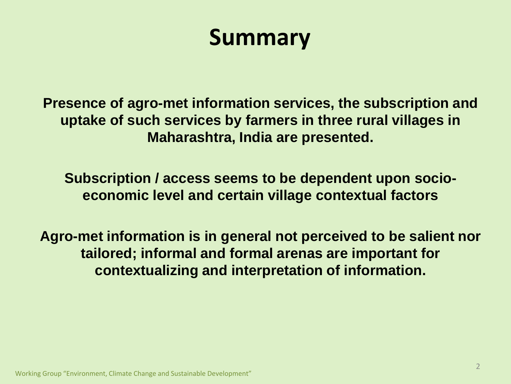## **Summary**

**Presence of agro-met information services, the subscription and uptake of such services by farmers in three rural villages in Maharashtra, India are presented.**

**Subscription / access seems to be dependent upon socioeconomic level and certain village contextual factors** 

**Agro-met information is in general not perceived to be salient nor tailored; informal and formal arenas are important for contextualizing and interpretation of information.**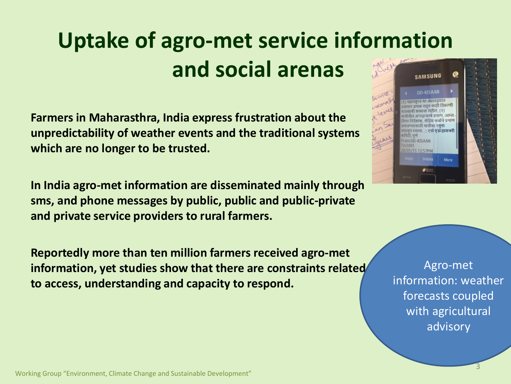### **Uptake of agro-met service information and social arenas SAMSUNG**

**Farmers in Maharasthra, India express frustration about the unpredictability of weather events and the traditional systems which are no longer to be trusted.**

**In India agro-met information are disseminated mainly through sms, and phone messages by public, public and public-private and private service providers to rural farmers.**

**Reportedly more than ten million farmers received agro-met information, yet studies show that there are constraints related to access, understanding and capacity to respond.** 



Agro-met information: weather forecasts coupled with agricultural advisory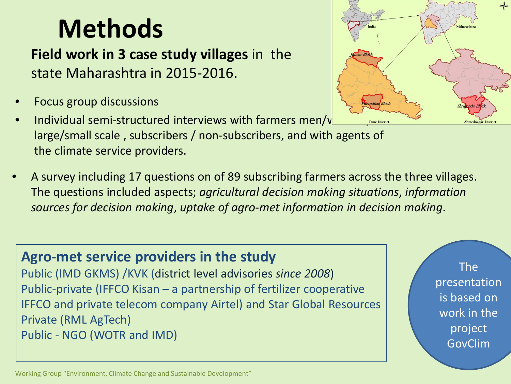## **Methods**

**Field work in 3 case study villages** in the state Maharashtra in 2015-2016.

- Focus group discussions
- Individual semi-structured interviews with farmers men/ $\nu$ large/small scale , subscribers / non-subscribers, and with agents of the climate service providers.
- A survey including 17 questions on of 89 subscribing farmers across the three villages. The questions included aspects; *agricultural decision making situations*, *information sources for decision making*, *uptake of agro-met information in decision making*.

### **Agro-met service providers in the study**

Public (IMD GKMS) /KVK (district level advisories *since 2008*) Public-private (IFFCO Kisan – a partnership of fertilizer cooperative IFFCO and private telecom company Airtel) and Star Global Resources Private (RML AgTech) Public - NGO (WOTR and IMD)

The

presentation is based on

work in the

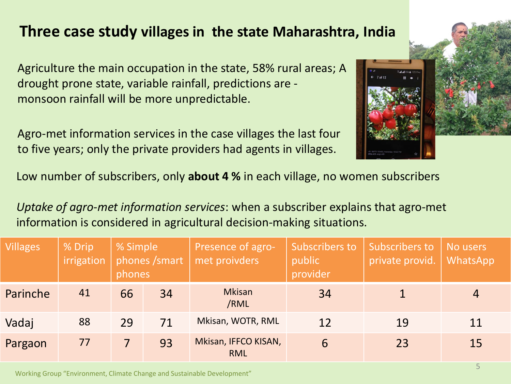### **Three case study villages in the state Maharashtra, India**

Agriculture the main occupation in the state, 58% rural areas; A drought prone state, variable rainfall, predictions are monsoon rainfall will be more unpredictable.

Agro-met information services in the case villages the last four to five years; only the private providers had agents in villages.



Low number of subscribers, only **about 4 %** in each village, no women subscribers

*Uptake of agro-met information services*: when a subscriber explains that agro-met information is considered in agricultural decision-making situations.

| <b>Villages</b> | % Drip<br>irrigation | % Simple<br>phones /smart<br>phones |    | Presence of agro-<br>met proivders | Subscribers to<br>public<br>provider | Subscribers to<br>private provid. | No users<br><b>WhatsApp</b> |
|-----------------|----------------------|-------------------------------------|----|------------------------------------|--------------------------------------|-----------------------------------|-----------------------------|
| Parinche        | 41                   | 66                                  | 34 | <b>Mkisan</b><br>/RML              | 34                                   |                                   | $\overline{4}$              |
| Vadaj           | 88                   | 29                                  | 71 | Mkisan, WOTR, RML                  | 12                                   | 19                                | 11                          |
| Pargaon         | 77                   |                                     | 93 | Mkisan, IFFCO KISAN,<br><b>RML</b> | 6                                    | 23                                | 15                          |

Working Group "Environment, Climate Change and Sustainable Development"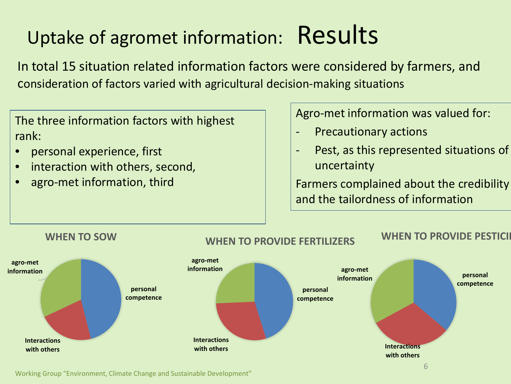## Uptake of agromet information: Results

In total 15 situation related information factors were considered by farmers, and consideration of factors varied with agricultural decision-making situations

The three information factors with highest rank:

- personal experience, first
- interaction with others, second,
- agro-met information, third

Agro-met information was valued for:

- **Precautionary actions**
- Pest, as this represented situations of uncertainty

Farmers complained about the credibility and the tailordness of information



Working Group "Environment, Climate Change and Sustainable Development"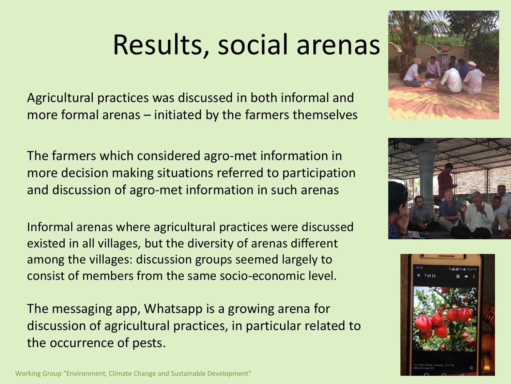# Results, social arenas

Agricultural practices was discussed in both informal and more formal arenas – initiated by the farmers themselves

The farmers which considered agro-met information in more decision making situations referred to participation and discussion of agro-met information in such arenas

Informal arenas where agricultural practices were discussed existed in all villages, but the diversity of arenas different among the villages: discussion groups seemed largely to consist of members from the same socio-economic level.

The messaging app, Whatsapp is a growing arena for discussion of agricultural practices, in particular related to the occurrence of pests.







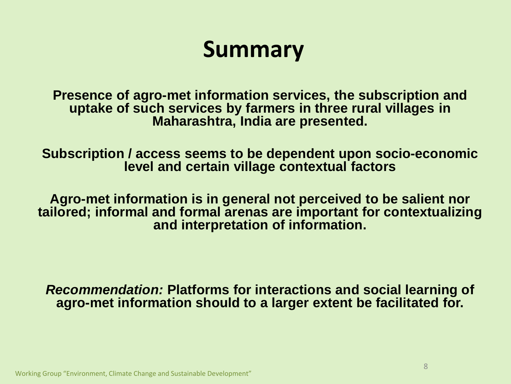## **Summary**

**Presence of agro-met information services, the subscription and uptake of such services by farmers in three rural villages in Maharashtra, India are presented.**

**Subscription / access seems to be dependent upon socio-economic level and certain village contextual factors** 

**Agro-met information is in general not perceived to be salient nor tailored; informal and formal arenas are important for contextualizing and interpretation of information.** 

*Recommendation:* **Platforms for interactions and social learning of agro-met information should to a larger extent be facilitated for.**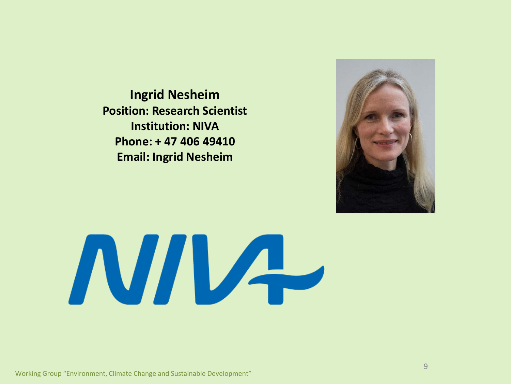**Ingrid Nesheim Position: Research Scientist Institution: NIVA Phone: + 47 406 49410 Email: Ingrid Nesheim**